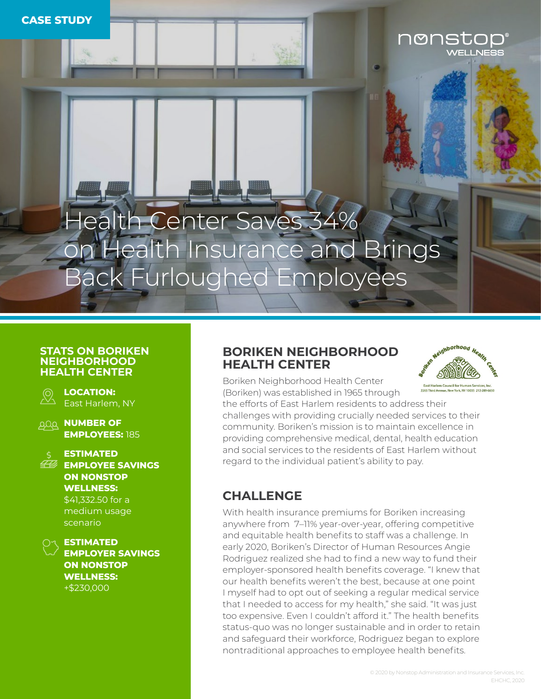# Health Center Saves 34% on Health Insurance and Brings Back Furloughed Employees

#### **STATS ON BORIKEN NEIGHBORHOOD HEALTH CENTER**



**LOCATION:**  East Harlem, NY

**AQA NUMBER OF EMPLOYEES:** 185



#### **ESTIMATED EMPLOYEE SAVINGS**

**ON NONSTOP WELLNESS:** 

\$41,332.50 for a medium usage scenario



**EMPLOYER SAVINGS ON NONSTOP WELLNESS:**  +\$230,000

### **BORIKEN NEIGHBORHOOD HEALTH CENTER**



nonstop

Boriken Neighborhood Health Center (Boriken) was established in 1965 through

the efforts of East Harlem residents to address their challenges with providing crucially needed services to their community. Boriken's mission is to maintain excellence in providing comprehensive medical, dental, health education and social services to the residents of East Harlem without regard to the individual patient's ability to pay.

## **CHALLENGE**

With health insurance premiums for Boriken increasing anywhere from 7–11% year-over-year, offering competitive and equitable health benefits to staff was a challenge. In early 2020, Boriken's Director of Human Resources Angie Rodriguez realized she had to find a new way to fund their employer-sponsored health benefits coverage. "I knew that our health benefits weren't the best, because at one point I myself had to opt out of seeking a regular medical service that I needed to access for my health," she said. "It was just too expensive. Even I couldn't afford it." The health benefits status-quo was no longer sustainable and in order to retain and safeguard their workforce, Rodriguez began to explore nontraditional approaches to employee health benefits.